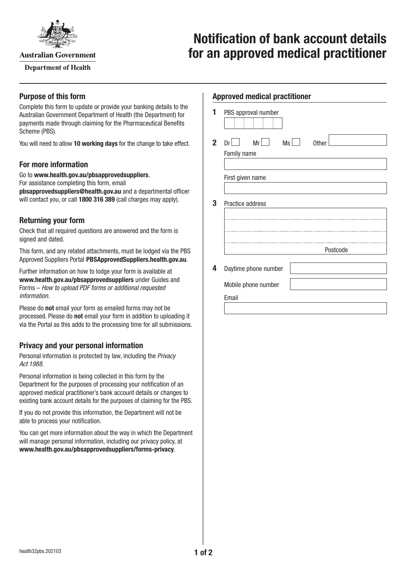

**Australian Government** 

**Department of Health** 

# **Notification of bank account details for an approved medical practitioner**

### **Purpose of this form**

Complete this form to update or provide your banking details to the Australian Government Department of Health (the Department) for payments made through claiming for the Pharmaceutical Benefits Scheme (PBS).

You will need to allow **10 working days** for the change to take effect.

# **For more information**

Go to **[www.health.gov.au/pbsapprovedsuppliers](http://www.health.gov.au/pbsapprovedsuppliers)**. For assistance completing this form, email **[pbsapprovedsuppliers@health.gov.au](mailto:pbsapprovedsuppliers@health.gov.au)** and a departmental officer will contact you, or call **1800 316 389** (call charges may apply).

# **Returning your form**

Check that all required questions are answered and the form is signed and dated.

This form, and any related attachments, must be lodged via the PBS Approved Suppliers Portal [PBSApprovedSuppliers.health.gov.au](https://pbsapprovedsuppliers.health.gov.au/).

Further information on how to lodge your form is available at **[www.health.gov.au/pbsapprovedsuppliers](http://www.health.gov.au/pbsapprovedsuppliers)** under Guides and Forms – *How to upload PDF forms or additional requested information*.

Please do **not** email your form as emailed forms may not be processed. Please do **not** email your form in addition to uploading it via the Portal as this adds to the processing time for all submissions.

# **Privacy and your personal information**

Personal information is protected by law, including the *Privacy Act 1988.*

Personal information is being collected in this form by the Department for the purposes of processing your notification of an approved medical practitioner's bank account details or changes to existing bank account details for the purposes of claiming for the PBS.

If you do not provide this information, the Department will not be able to process your notification.

You can get more information about the way in which the Department will manage personal information, including our privacy policy, at **[www.health.gov.au/pbsapprovedsuppliers/forms-privacy](http://www.health.gov.au/pbsapprovedsuppliers/forms-privacy)**.

#### **Approved medical practitioner**

| 1            | PBS approval number            |
|--------------|--------------------------------|
| $\mathbf{2}$ | Mr<br>Ms<br><b>Other</b><br>Dr |
|              | Family name                    |
|              | First given name               |
| 3            | Practice address               |
|              |                                |
|              |                                |
|              |                                |
|              | Postcode                       |
| 4            | Daytime phone number           |
|              | Mobile phone number            |
|              | Email                          |
|              |                                |